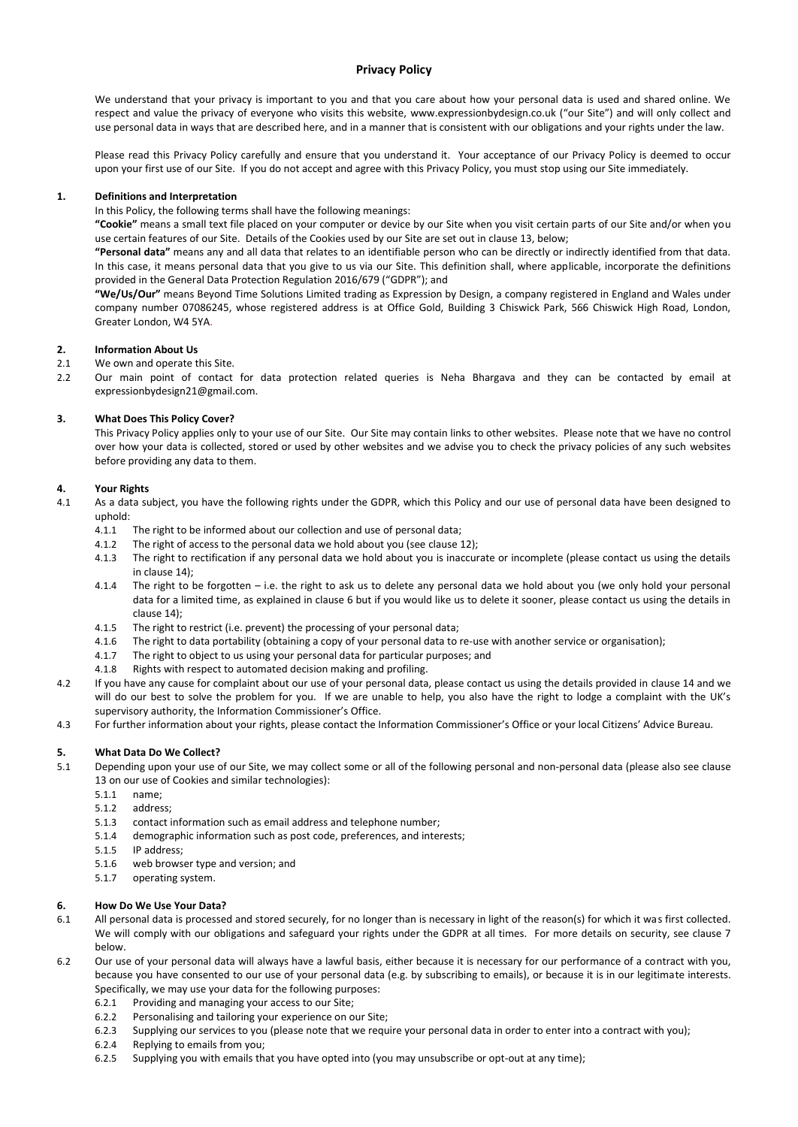# **Privacy Policy**

We understand that your privacy is important to you and that you care about how your personal data is used and shared online. We respect and value the privacy of everyone who visits this website, www.expressionbydesign.co.uk ("our Site") and will only collect and use personal data in ways that are described here, and in a manner that is consistent with our obligations and your rights under the law.

Please read this Privacy Policy carefully and ensure that you understand it. Your acceptance of our Privacy Policy is deemed to occur upon your first use of our Site. If you do not accept and agree with this Privacy Policy, you must stop using our Site immediately.

## **1. Definitions and Interpretation**

In this Policy, the following terms shall have the following meanings:

**"Cookie"** means a small text file placed on your computer or device by our Site when you visit certain parts of our Site and/or when you use certain features of our Site. Details of the Cookies used by our Site are set out in clause 13, below;

**"Personal data"** means any and all data that relates to an identifiable person who can be directly or indirectly identified from that data. In this case, it means personal data that you give to us via our Site. This definition shall, where applicable, incorporate the definitions provided in the General Data Protection Regulation 2016/679 ("GDPR"); and

**"We/Us/Our"** means Beyond Time Solutions Limited trading as Expression by Design, a company registered in England and Wales under company number 07086245, whose registered address is at Office Gold, Building 3 Chiswick Park, 566 Chiswick High Road, London, Greater London, W4 5YA.

## **2. Information About Us**

- 2.1 We own and operate this Site.
- 2.2 Our main point of contact for data protection related queries is Neha Bhargava and they can be contacted by email at expressionbydesign21@gmail.com.

## **3. What Does This Policy Cover?**

This Privacy Policy applies only to your use of our Site. Our Site may contain links to other websites. Please note that we have no control over how your data is collected, stored or used by other websites and we advise you to check the privacy policies of any such websites before providing any data to them.

## **4. Your Rights**

- 4.1 As a data subject, you have the following rights under the GDPR, which this Policy and our use of personal data have been designed to uphold:
	- 4.1.1 The right to be informed about our collection and use of personal data;
	- 4.1.2 The right of access to the personal data we hold about you (see clause 12);
	- 4.1.3 The right to rectification if any personal data we hold about you is inaccurate or incomplete (please contact us using the details in clause 14);
	- 4.1.4 The right to be forgotten i.e. the right to ask us to delete any personal data we hold about you (we only hold your personal data for a limited time, as explained in clause 6 but if you would like us to delete it sooner, please contact us using the details in clause 14);
	- 4.1.5 The right to restrict (i.e. prevent) the processing of your personal data;
	- 4.1.6 The right to data portability (obtaining a copy of your personal data to re-use with another service or organisation);
	- 4.1.7 The right to object to us using your personal data for particular purposes; and
	- 4.1.8 Rights with respect to automated decision making and profiling.
- 4.2 If you have any cause for complaint about our use of your personal data, please contact us using the details provided in clause 14 and we will do our best to solve the problem for you. If we are unable to help, you also have the right to lodge a complaint with the UK's supervisory authority, the Information Commissioner's Office.
- 4.3 For further information about your rights, please contact the Information Commissioner's Office or your local Citizens' Advice Bureau.

## **5. What Data Do We Collect?**

- 5.1 Depending upon your use of our Site, we may collect some or all of the following personal and non-personal data (please also see clause 13 on our use of Cookies and similar technologies):
	- 5.1.1 name;
	- 5.1.2 address;
	- 5.1.3 contact information such as email address and telephone number;
	- 5.1.4 demographic information such as post code, preferences, and interests;
	- 5.1.5 IP address;
	- 5.1.6 web browser type and version; and
	- 5.1.7 operating system.

## **6. How Do We Use Your Data?**

- 6.1 All personal data is processed and stored securely, for no longer than is necessary in light of the reason(s) for which it was first collected. We will comply with our obligations and safeguard your rights under the GDPR at all times. For more details on security, see clause 7 below.
- 6.2 Our use of your personal data will always have a lawful basis, either because it is necessary for our performance of a contract with you, because you have consented to our use of your personal data (e.g. by subscribing to emails), or because it is in our legitimate interests. Specifically, we may use your data for the following purposes:
	- 6.2.1 Providing and managing your access to our Site;
	- 6.2.2 Personalising and tailoring your experience on our Site;
	- 6.2.3 Supplying our services to you (please note that we require your personal data in order to enter into a contract with you);
	- 6.2.4 Replying to emails from you;
	- 6.2.5 Supplying you with emails that you have opted into (you may unsubscribe or opt-out at any time);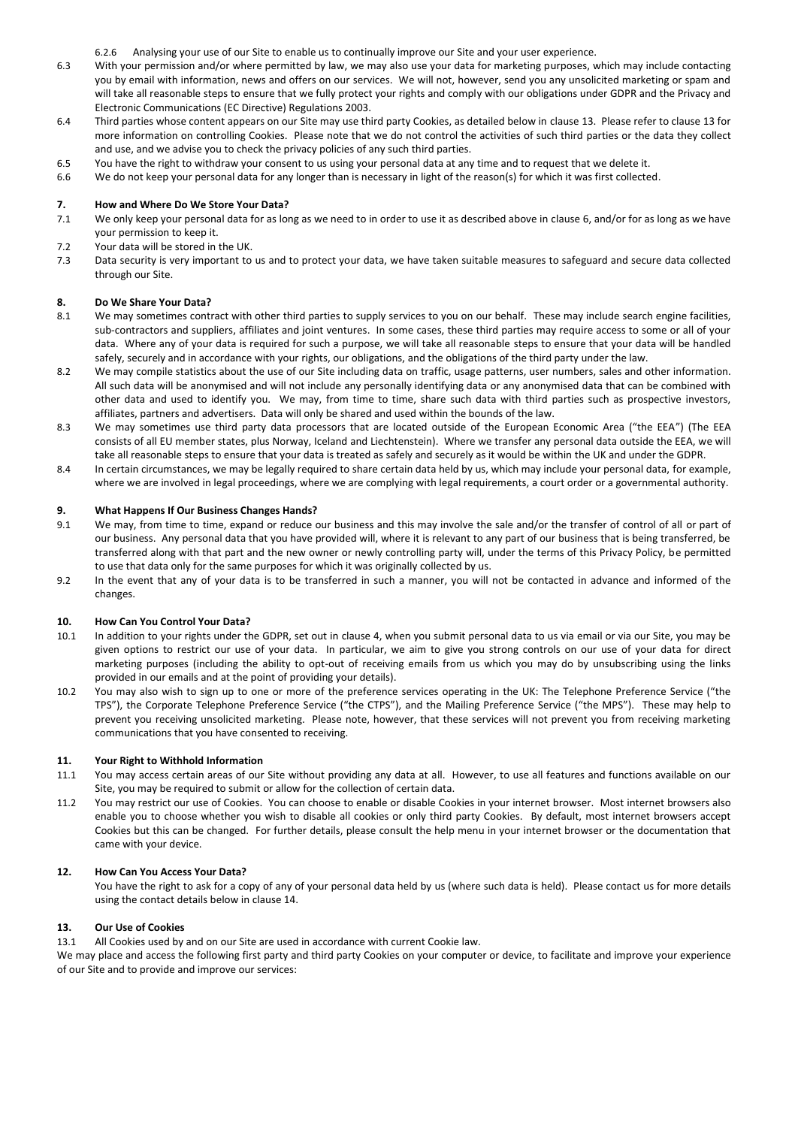6.2.6 Analysing your use of our Site to enable us to continually improve our Site and your user experience.

- 6.3 With your permission and/or where permitted by law, we may also use your data for marketing purposes, which may include contacting you by email with information, news and offers on our services. We will not, however, send you any unsolicited marketing or spam and will take all reasonable steps to ensure that we fully protect your rights and comply with our obligations under GDPR and the Privacy and Electronic Communications (EC Directive) Regulations 2003.
- 6.4 Third parties whose content appears on our Site may use third party Cookies, as detailed below in clause 13. Please refer to clause 13 for more information on controlling Cookies. Please note that we do not control the activities of such third parties or the data they collect and use, and we advise you to check the privacy policies of any such third parties.
- 6.5 You have the right to withdraw your consent to us using your personal data at any time and to request that we delete it.
- 6.6 We do not keep your personal data for any longer than is necessary in light of the reason(s) for which it was first collected.

## **7. How and Where Do We Store Your Data?**

- 7.1 We only keep your personal data for as long as we need to in order to use it as described above in clause 6, and/or for as long as we have your permission to keep it.
- 7.2 Your data will be stored in the UK.
- 7.3 Data security is very important to us and to protect your data, we have taken suitable measures to safeguard and secure data collected through our Site.

### **8. Do We Share Your Data?**

- 8.1 We may sometimes contract with other third parties to supply services to you on our behalf. These may include search engine facilities, sub-contractors and suppliers, affiliates and joint ventures. In some cases, these third parties may require access to some or all of your data. Where any of your data is required for such a purpose, we will take all reasonable steps to ensure that your data will be handled safely, securely and in accordance with your rights, our obligations, and the obligations of the third party under the law.
- 8.2 We may compile statistics about the use of our Site including data on traffic, usage patterns, user numbers, sales and other information. All such data will be anonymised and will not include any personally identifying data or any anonymised data that can be combined with other data and used to identify you. We may, from time to time, share such data with third parties such as prospective investors, affiliates, partners and advertisers. Data will only be shared and used within the bounds of the law.
- 8.3 We may sometimes use third party data processors that are located outside of the European Economic Area ("the EEA") (The EEA consists of all EU member states, plus Norway, Iceland and Liechtenstein). Where we transfer any personal data outside the EEA, we will take all reasonable steps to ensure that your data is treated as safely and securely as it would be within the UK and under the GDPR.
- 8.4 In certain circumstances, we may be legally required to share certain data held by us, which may include your personal data, for example, where we are involved in legal proceedings, where we are complying with legal requirements, a court order or a governmental authority.

### **9. What Happens If Our Business Changes Hands?**

- 9.1 We may, from time to time, expand or reduce our business and this may involve the sale and/or the transfer of control of all or part of our business. Any personal data that you have provided will, where it is relevant to any part of our business that is being transferred, be transferred along with that part and the new owner or newly controlling party will, under the terms of this Privacy Policy, be permitted to use that data only for the same purposes for which it was originally collected by us.
- 9.2 In the event that any of your data is to be transferred in such a manner, you will not be contacted in advance and informed of the changes.

### **10. How Can You Control Your Data?**

- 10.1 In addition to your rights under the GDPR, set out in clause 4, when you submit personal data to us via email or via our Site, you may be given options to restrict our use of your data. In particular, we aim to give you strong controls on our use of your data for direct marketing purposes (including the ability to opt-out of receiving emails from us which you may do by unsubscribing using the links provided in our emails and at the point of providing your details).
- 10.2 You may also wish to sign up to one or more of the preference services operating in the UK: The Telephone Preference Service ("the TPS"), the Corporate Telephone Preference Service ("the CTPS"), and the Mailing Preference Service ("the MPS"). These may help to prevent you receiving unsolicited marketing. Please note, however, that these services will not prevent you from receiving marketing communications that you have consented to receiving.

### **11. Your Right to Withhold Information**

- 11.1 You may access certain areas of our Site without providing any data at all. However, to use all features and functions available on our Site, you may be required to submit or allow for the collection of certain data.
- 11.2 You may restrict our use of Cookies. You can choose to enable or disable Cookies in your internet browser. Most internet browsers also enable you to choose whether you wish to disable all cookies or only third party Cookies. By default, most internet browsers accept Cookies but this can be changed. For further details, please consult the help menu in your internet browser or the documentation that came with your device.

### **12. How Can You Access Your Data?**

You have the right to ask for a copy of any of your personal data held by us (where such data is held). Please contact us for more details using the contact details below in clause 14.

## **13. Our Use of Cookies**

13.1 All Cookies used by and on our Site are used in accordance with current Cookie law.

We may place and access the following first party and third party Cookies on your computer or device, to facilitate and improve your experience of our Site and to provide and improve our services: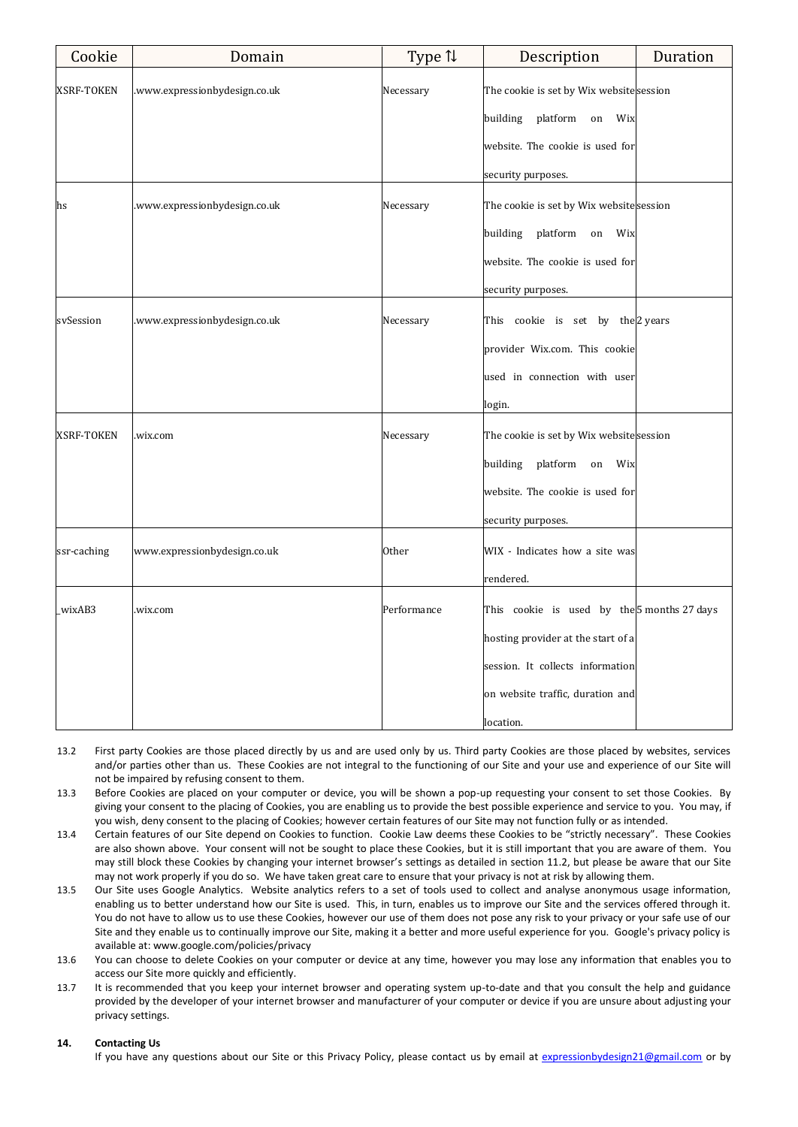| Cookie            | Domain                        | Type 1      | Description                                 | Duration |
|-------------------|-------------------------------|-------------|---------------------------------------------|----------|
| XSRF-TOKEN        | .www.expressionbydesign.co.uk | Necessary   | The cookie is set by Wix website session    |          |
|                   |                               |             | building<br>platform<br>Wix<br>on           |          |
|                   |                               |             | website. The cookie is used for             |          |
|                   |                               |             | security purposes.                          |          |
| hs                | .www.expressionbydesign.co.uk | Necessary   | The cookie is set by Wix website session    |          |
|                   |                               |             | building<br>platform<br>Wix<br>on           |          |
|                   |                               |             | website. The cookie is used for             |          |
|                   |                               |             | security purposes.                          |          |
| svSession         | .www.expressionbydesign.co.uk | Necessary   | This cookie is set by the 2 years           |          |
|                   |                               |             | provider Wix.com. This cookie               |          |
|                   |                               |             | used in connection with user                |          |
|                   |                               |             | login.                                      |          |
| <b>XSRF-TOKEN</b> | .wix.com                      | Necessary   | The cookie is set by Wix website session    |          |
|                   |                               |             | platform<br>building<br>Wix<br>on           |          |
|                   |                               |             | website. The cookie is used for             |          |
|                   |                               |             | security purposes.                          |          |
| ssr-caching       | www.expressionbydesign.co.uk  | Other       | WIX - Indicates how a site was              |          |
|                   |                               |             | rendered.                                   |          |
| wixAB3            | .wix.com                      | Performance | This cookie is used by the 5 months 27 days |          |
|                   |                               |             | hosting provider at the start of a          |          |
|                   |                               |             | session. It collects information            |          |
|                   |                               |             | on website traffic, duration and            |          |
|                   |                               |             | location.                                   |          |

- 13.2 First party Cookies are those placed directly by us and are used only by us. Third party Cookies are those placed by websites, services and/or parties other than us. These Cookies are not integral to the functioning of our Site and your use and experience of our Site will not be impaired by refusing consent to them.
- 13.3 Before Cookies are placed on your computer or device, you will be shown a pop-up requesting your consent to set those Cookies. By giving your consent to the placing of Cookies, you are enabling us to provide the best possible experience and service to you. You may, if you wish, deny consent to the placing of Cookies; however certain features of our Site may not function fully or as intended.
- 13.4 Certain features of our Site depend on Cookies to function. Cookie Law deems these Cookies to be "strictly necessary". These Cookies are also shown above. Your consent will not be sought to place these Cookies, but it is still important that you are aware of them. You may still block these Cookies by changing your internet browser's settings as detailed in section 11.2, but please be aware that our Site may not work properly if you do so. We have taken great care to ensure that your privacy is not at risk by allowing them.
- 13.5 Our Site uses Google Analytics. Website analytics refers to a set of tools used to collect and analyse anonymous usage information, enabling us to better understand how our Site is used. This, in turn, enables us to improve our Site and the services offered through it. You do not have to allow us to use these Cookies, however our use of them does not pose any risk to your privacy or your safe use of our Site and they enable us to continually improve our Site, making it a better and more useful experience for you. Google's privacy policy is available at[: www.google.com/policies/privacy](http://www.google.com/policies/privacy)
- 13.6 You can choose to delete Cookies on your computer or device at any time, however you may lose any information that enables you to access our Site more quickly and efficiently.
- 13.7 It is recommended that you keep your internet browser and operating system up-to-date and that you consult the help and guidance provided by the developer of your internet browser and manufacturer of your computer or device if you are unsure about adjusting your privacy settings.

# **14. Contacting Us**

If you have any questions about our Site or this Privacy Policy, please contact us by email at [expressionbydesign21@gmail.com](mailto:expressionbydesign21@gmail.com) or by